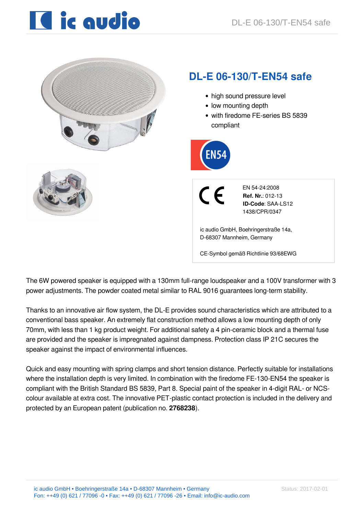# **IC** ic qudio



The 6W powered speaker is equipped with a 130mm full-range loudspeaker and a 100V transformer with 3 power adjustments. The powder coated metal similar to RAL 9016 guarantees long-term stability.

CE-Symbol gemäß Richtlinie 93/68EWG

Thanks to an innovative air flow system, the DL-E provides sound characteristics which are attributed to a conventional bass speaker. An extremely flat construction method allows a low mounting depth of only 70mm, with less than 1 kg product weight. For additional safety a 4 pin-ceramic block and a thermal fuse are provided and the speaker is impregnated against dampness. Protection class IP 21C secures the speaker against the impact of environmental influences.

Quick and easy mounting with spring clamps and short tension distance. Perfectly suitable for installations where the installation depth is very limited. In combination with the firedome FE-130-EN54 the speaker is compliant with the British Standard BS 5839, Part 8. Special paint of the speaker in 4-digit RAL- or NCScolour available at extra cost. The innovative PET-plastic contact protection is included in the delivery and protected by an European patent (publication no. **2768238**).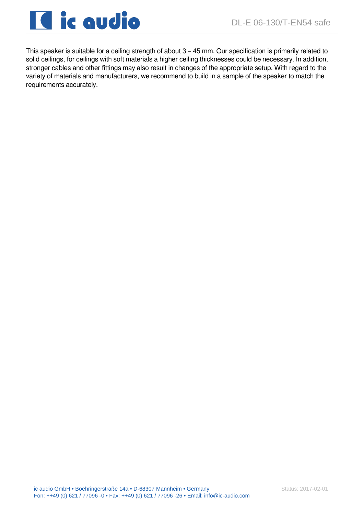

This speaker is suitable for a ceiling strength of about 3 – 45 mm. Our specification is primarily related to solid ceilings, for ceilings with soft materials a higher ceiling thicknesses could be necessary. In addition, stronger cables and other fittings may also result in changes of the appropriate setup. With regard to the variety of materials and manufacturers, we recommend to build in a sample of the speaker to match the requirements accurately.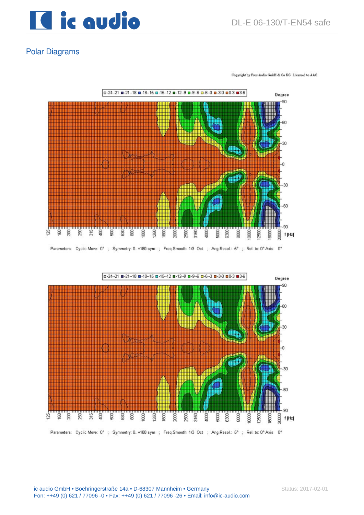

Copyright by Four-Audio GmbH & Co KG Licensed to AAC

### Polar Diagrams

□-24--21 ■-21--18 ■-18--15 □-15--12 ■-12--9 □-9--6 □-6--3 ■-3-0 □0-3 ■3-6 Degree -90 æ g g 员  $\frac{47}{62}$ Ê 5 ශි g ğ 350 **BOO** g ğ ğ ğ ğ g g 8 f [Hz]

Parameters: Cyclic Move: 0°; Symmetry: 0..+180 sym ; Freq.Smooth: 1/3 Oct ; Ang.Resol.: 5°; Rel. to: 0° Axis 0°

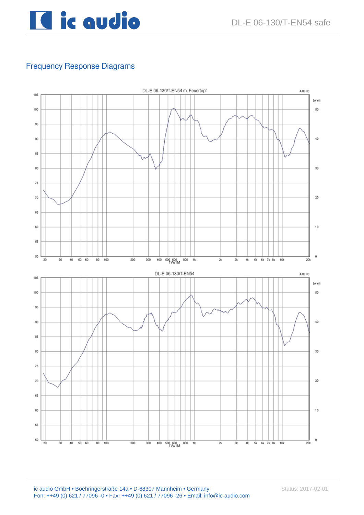

## Frequency Response Diagrams

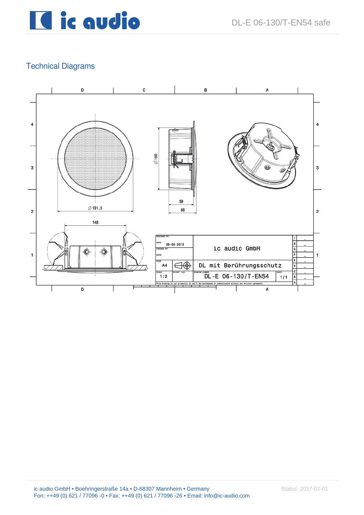## Technical Diagrams

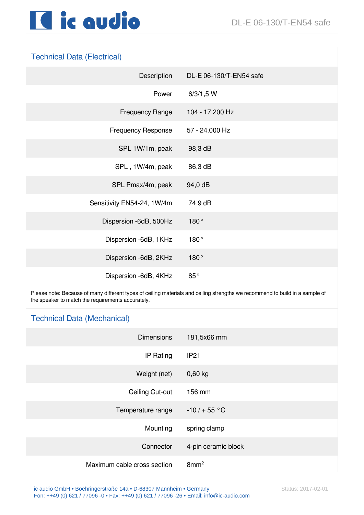

#### Technical Data (Electrical)

| Description                | DL-E 06-130/T-EN54 safe |
|----------------------------|-------------------------|
| Power                      | 6/3/1,5 W               |
| <b>Frequency Range</b>     | 104 - 17.200 Hz         |
| <b>Frequency Response</b>  | 57 - 24.000 Hz          |
| SPL 1W/1m, peak            | 98,3 dB                 |
| SPL, 1W/4m, peak           | 86,3 dB                 |
| SPL Pmax/4m, peak          | 94,0 dB                 |
| Sensitivity EN54-24, 1W/4m | 74,9 dB                 |
| Dispersion -6dB, 500Hz     | 180°                    |
| Dispersion -6dB, 1KHz      | 180°                    |
| Dispersion -6dB, 2KHz      | 180°                    |
| Dispersion -6dB, 4KHz      | 85°                     |

Please note: Because of many different types of ceiling materials and ceiling strengths we recommend to build in a sample of the speaker to match the requirements accurately.

#### Technical Data (Mechanical)

| <b>Dimensions</b>           | 181,5x66 mm         |
|-----------------------------|---------------------|
| IP Rating                   | <b>IP21</b>         |
| Weight (net)                | $0,60$ kg           |
| Ceiling Cut-out             | 156 mm              |
| Temperature range           | $-10/ + 55 °C$      |
| Mounting                    | spring clamp        |
| Connector                   | 4-pin ceramic block |
| Maximum cable cross section | 8mm <sup>2</sup>    |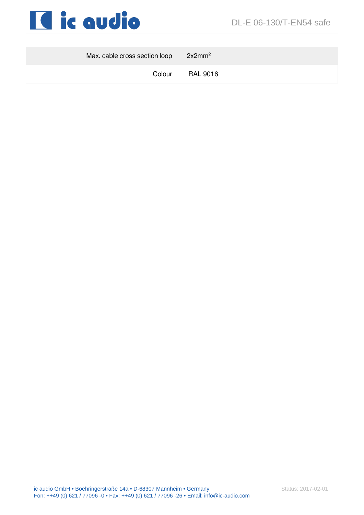

| Max. cable cross section loop $2x2mm2$ |          |
|----------------------------------------|----------|
| Colour                                 | RAL 9016 |